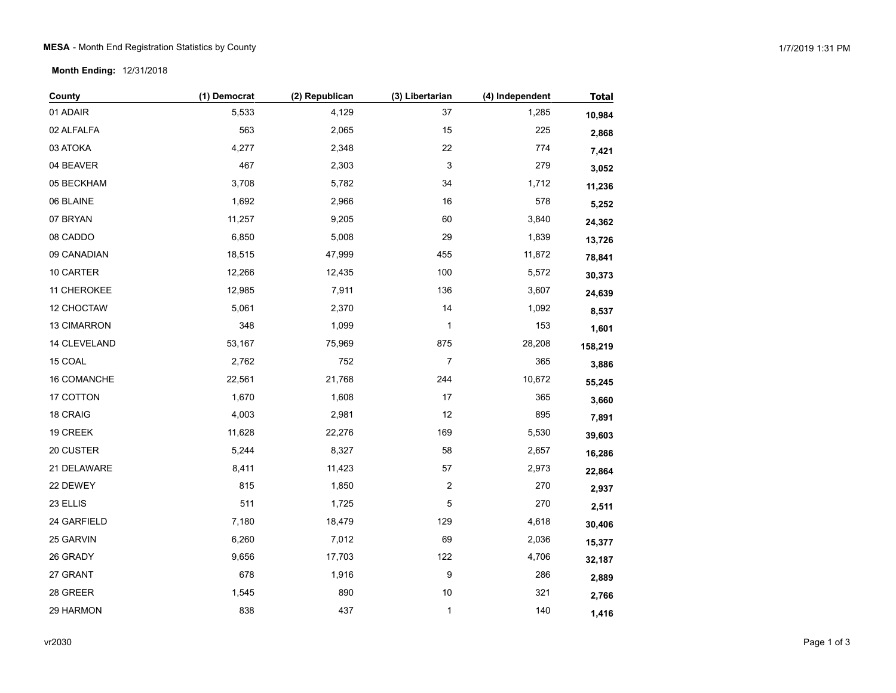## MESA - Month End Registration Statistics by County and the state of the state of the state of the state of the state of the state of the state of the state of the state of the state of the state of the state of the state o

**Month Ending:** 12/31/2018

| County             | (1) Democrat | (2) Republican | (3) Libertarian  | (4) Independent | <b>Total</b> |
|--------------------|--------------|----------------|------------------|-----------------|--------------|
| 01 ADAIR           | 5,533        | 4,129          | 37               | 1,285           | 10,984       |
| 02 ALFALFA         | 563          | 2,065          | 15               | 225             | 2,868        |
| 03 ATOKA           | 4,277        | 2,348          | 22               | 774             | 7,421        |
| 04 BEAVER          | 467          | 2,303          | 3                | 279             | 3,052        |
| 05 BECKHAM         | 3,708        | 5,782          | 34               | 1,712           | 11,236       |
| 06 BLAINE          | 1,692        | 2,966          | 16               | 578             | 5,252        |
| 07 BRYAN           | 11,257       | 9,205          | 60               | 3,840           | 24,362       |
| 08 CADDO           | 6,850        | 5,008          | 29               | 1,839           | 13,726       |
| 09 CANADIAN        | 18,515       | 47,999         | 455              | 11,872          | 78,841       |
| 10 CARTER          | 12,266       | 12,435         | 100              | 5,572           | 30,373       |
| 11 CHEROKEE        | 12,985       | 7,911          | 136              | 3,607           | 24,639       |
| 12 CHOCTAW         | 5,061        | 2,370          | 14               | 1,092           | 8,537        |
| 13 CIMARRON        | 348          | 1,099          | 1                | 153             | 1,601        |
| 14 CLEVELAND       | 53,167       | 75,969         | 875              | 28,208          | 158,219      |
| 15 COAL            | 2,762        | 752            | $\boldsymbol{7}$ | 365             | 3,886        |
| <b>16 COMANCHE</b> | 22,561       | 21,768         | 244              | 10,672          | 55,245       |
| 17 COTTON          | 1,670        | 1,608          | 17               | 365             | 3,660        |
| 18 CRAIG           | 4,003        | 2,981          | 12               | 895             | 7,891        |
| 19 CREEK           | 11,628       | 22,276         | 169              | 5,530           | 39,603       |
| 20 CUSTER          | 5,244        | 8,327          | 58               | 2,657           | 16,286       |
| 21 DELAWARE        | 8,411        | 11,423         | 57               | 2,973           | 22,864       |
| 22 DEWEY           | 815          | 1,850          | $\boldsymbol{2}$ | 270             | 2,937        |
| 23 ELLIS           | 511          | 1,725          | 5                | 270             | 2,511        |
| 24 GARFIELD        | 7,180        | 18,479         | 129              | 4,618           | 30,406       |
| 25 GARVIN          | 6,260        | 7,012          | 69               | 2,036           | 15,377       |
| 26 GRADY           | 9,656        | 17,703         | 122              | 4,706           | 32,187       |
| 27 GRANT           | 678          | 1,916          | 9                | 286             | 2,889        |
| 28 GREER           | 1,545        | 890            | $10$             | 321             | 2,766        |
| 29 HARMON          | 838          | 437            | 1                | 140             | 1,416        |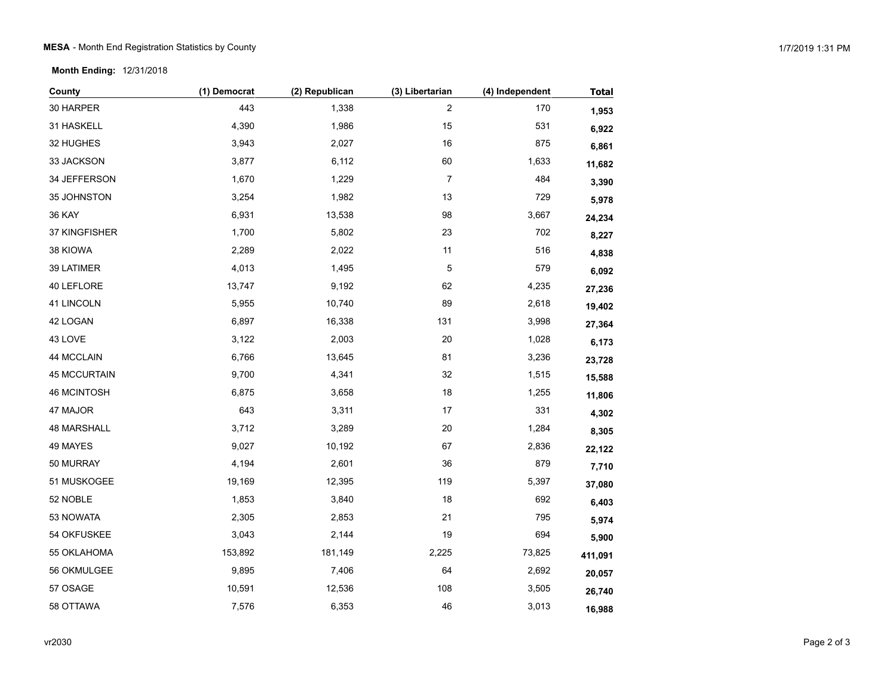**Month Ending:** 12/31/2018

| County              | (1) Democrat | (2) Republican | (3) Libertarian  | (4) Independent | <b>Total</b> |
|---------------------|--------------|----------------|------------------|-----------------|--------------|
| 30 HARPER           | 443          | 1,338          | $\boldsymbol{2}$ | 170             | 1,953        |
| 31 HASKELL          | 4,390        | 1,986          | 15               | 531             | 6,922        |
| 32 HUGHES           | 3,943        | 2,027          | 16               | 875             | 6,861        |
| 33 JACKSON          | 3,877        | 6,112          | 60               | 1,633           | 11,682       |
| 34 JEFFERSON        | 1,670        | 1,229          | 7                | 484             | 3,390        |
| 35 JOHNSTON         | 3,254        | 1,982          | 13               | 729             | 5,978        |
| <b>36 KAY</b>       | 6,931        | 13,538         | 98               | 3,667           | 24,234       |
| 37 KINGFISHER       | 1,700        | 5,802          | 23               | 702             | 8,227        |
| 38 KIOWA            | 2,289        | 2,022          | 11               | 516             | 4,838        |
| 39 LATIMER          | 4,013        | 1,495          | 5                | 579             | 6,092        |
| 40 LEFLORE          | 13,747       | 9,192          | 62               | 4,235           | 27,236       |
| 41 LINCOLN          | 5,955        | 10,740         | 89               | 2,618           | 19,402       |
| 42 LOGAN            | 6,897        | 16,338         | 131              | 3,998           | 27,364       |
| 43 LOVE             | 3,122        | 2,003          | 20               | 1,028           | 6,173        |
| 44 MCCLAIN          | 6,766        | 13,645         | 81               | 3,236           | 23,728       |
| <b>45 MCCURTAIN</b> | 9,700        | 4,341          | 32               | 1,515           | 15,588       |
| <b>46 MCINTOSH</b>  | 6,875        | 3,658          | 18               | 1,255           | 11,806       |
| 47 MAJOR            | 643          | 3,311          | 17               | 331             | 4,302        |
| <b>48 MARSHALL</b>  | 3,712        | 3,289          | 20               | 1,284           | 8,305        |
| 49 MAYES            | 9,027        | 10,192         | 67               | 2,836           | 22,122       |
| 50 MURRAY           | 4,194        | 2,601          | 36               | 879             | 7,710        |
| 51 MUSKOGEE         | 19,169       | 12,395         | 119              | 5,397           | 37,080       |
| 52 NOBLE            | 1,853        | 3,840          | 18               | 692             | 6,403        |
| 53 NOWATA           | 2,305        | 2,853          | 21               | 795             | 5,974        |
| 54 OKFUSKEE         | 3,043        | 2,144          | 19               | 694             | 5,900        |
| 55 OKLAHOMA         | 153,892      | 181,149        | 2,225            | 73,825          | 411,091      |
| 56 OKMULGEE         | 9,895        | 7,406          | 64               | 2,692           | 20,057       |
| 57 OSAGE            | 10,591       | 12,536         | 108              | 3,505           | 26,740       |
| 58 OTTAWA           | 7,576        | 6,353          | 46               | 3,013           | 16,988       |